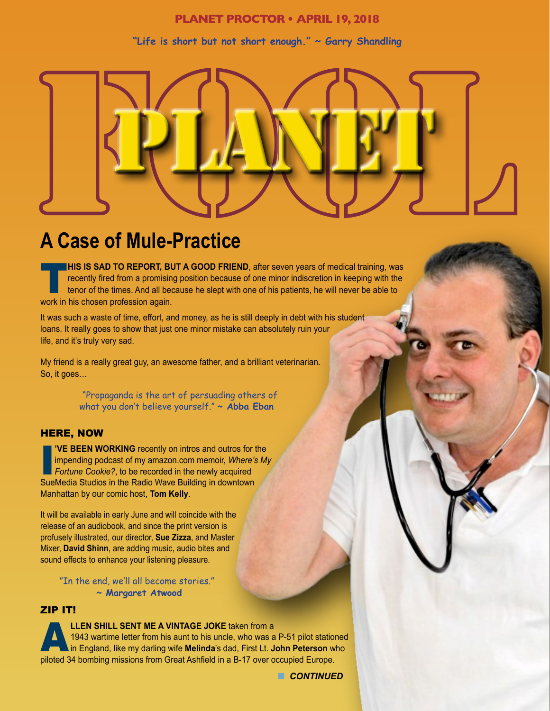# **PLANET PROCTOR • APRIL 19, 2018**

# **"Life is short but not short enough." ~ Garry Shandling**



# **A Case of Mule-Practice**

**HIS IS SAD TO REPORT, BUT A GOOD FRIEND**, after seven years of medical training, was recently fired from a promising position because of one minor indiscretion in keeping with the tenor of the times. And all because he slept with one of his patients, he will never be able to work in his chosen profession again.

It was such a waste of time, effort, and money, as he is still deeply in debt with his student loans. It really goes to show that just one minor mistake can absolutely ruin your life, and it's truly very sad.

My friend is a really great guy, an awesome father, and a brilliant veterinarian. So, it goes…

> "Propaganda is the art of persuading others of what you don't believe yourself." **~ Abba Eban**

#### HERE, NOW

I **'VE BEEN WORKING** recently on intros and outros for the impending podcast of my amazon.com memoir, *Where's My*  **Fortune Cookie?, to be recorded in the newly acquired** SueMedia Studios in the Radio Wave Building in downtown Manhattan by our comic host, **Tom Kelly**.

It will be available in early June and will coincide with the release of an audiobook, and since the print version is profusely illustrated, our director, **Sue Zizza**, and Master Mixer, **David Shinn**, are adding music, audio bites and sound effects to enhance your listening pleasure.

"In the end, we'll all become stories." **~ Margaret Atwood**

#### ZIP IT!

**LLEN SHILL SENT ME A VINTAGE JOKE** taken from a<br>1943 wartime letter from his aunt to his uncle, who was a<br>in England, like my darling wife **Melinda**'s dad, First Lt. Jo 1943 wartime letter from his aunt to his uncle, who was a P-51 pilot stationed in England, like my darling wife **Melinda**'s dad, First Lt. **John Peterson** who piloted 34 bombing missions from Great Ashfield in a B-17 over occupied Europe.

**n** CONTINUED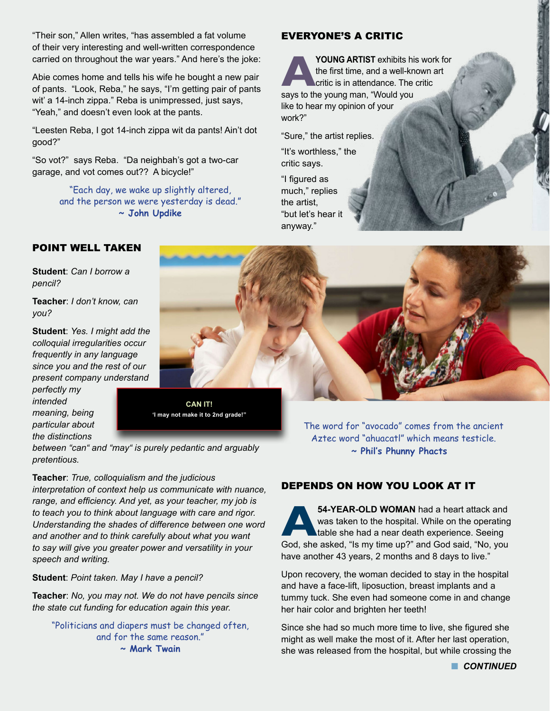"Their son," Allen writes, "has assembled a fat volume of their very interesting and well-written correspondence carried on throughout the war years." And here's the joke:

Abie comes home and tells his wife he bought a new pair of pants. "Look, Reba," he says, "I'm getting pair of pants wit' a 14-inch zippa." Reba is unimpressed, just says, "Yeah," and doesn't even look at the pants.

"Leesten Reba, I got 14-inch zippa wit da pants! Ain't dot good?"

"So vot?" says Reba. "Da neighbah's got a two-car garage, and vot comes out?? A bicycle!"

> "Each day, we wake up slightly altered, and the person we were yesterday is dead." **~ John Updike**

# EVERYONE'S A CRITIC

**POUNG ARTIST** exhibits his work for<br>the first time, and a well-known art<br>critic is in attendance. The critic<br>says to the young man. "Would you the first time, and a well-known art critic is in attendance. The critic says to the young man, "Would you like to hear my opinion of your work?"

"Sure," the artist replies.

"It's worthless," the critic says.

"I figured as much," replies the artist, "but let's hear it anyway."

# POINT WELL TAKEN

**Student**: *Can I borrow a pencil?*

**Teacher**: *I don't know, can you?* 

**Student**: *Yes. I might add the colloquial irregularities occur frequently in any language since you and the rest of our present company understand* 

*perfectly my intended meaning, being particular about the distinctions* 



**'I may not make it to 2nd grade!"**

*between "can" and "may" is purely pedantic and arguably pretentious.*

**Teacher**: *True, colloquialism and the judicious interpretation of context help us communicate with nuance, range, and efficiency. And yet, as your teacher, my job is to teach you to think about language with care and rigor. Understanding the shades of difference between one word and another and to think carefully about what you want to say will give you greater power and versatility in your speech and writing.* 

**Student**: *Point taken. May I have a pencil?* 

**Teacher**: *No, you may not. We do not have pencils since the state cut funding for education again this year.*

"Politicians and diapers must be changed often, and for the same reason." **~ Mark Twain**

The word for "avocado" comes from the ancient Aztec word "ahuacatl" which means testicle. **~ Phil's Phunny Phacts**

# DEPENDS ON HOW YOU LOOK AT IT

**F4-YEAR-OLD WOMAN** had a heart attack and<br>was taken to the hospital. While on the operating<br>God. she asked. "Is my time up?" and God said. "No. you was taken to the hospital. While on the operating table she had a near death experience. Seeing God, she asked, "Is my time up?" and God said, "No, you have another 43 years, 2 months and 8 days to live."

Upon recovery, the woman decided to stay in the hospital and have a face-lift, liposuction, breast implants and a tummy tuck. She even had someone come in and change her hair color and brighten her teeth!

Since she had so much more time to live, she figured she might as well make the most of it. After her last operation, she was released from the hospital, but while crossing the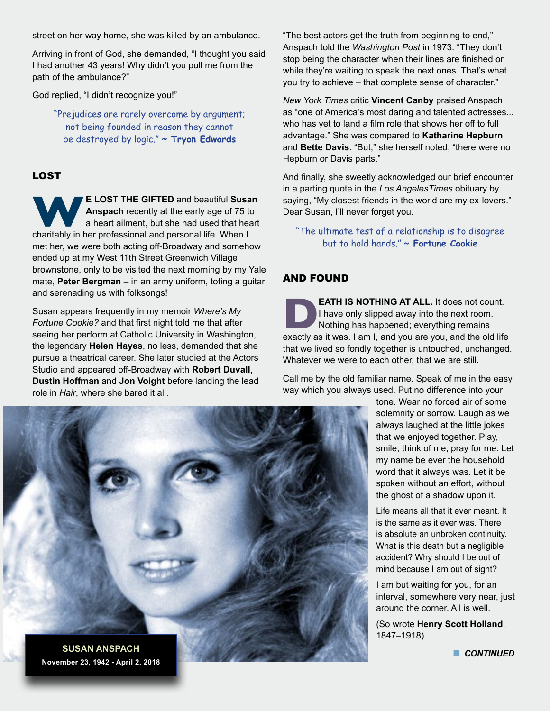street on her way home, she was killed by an ambulance.

Arriving in front of God, she demanded, "I thought you said I had another 43 years! Why didn't you pull me from the path of the ambulance?"

God replied, "I didn't recognize you!"

"Prejudices are rarely overcome by argument; not being founded in reason they cannot be destroyed by logic." **~ Tryon Edwards**

#### LOST

**WE LOST THE GIFTED** and beautiful Susan **Anspach** recently at the early age of 75 to a heart ailment, but she had used that heart charitably in her professional and personal life. When I **Anspach** recently at the early age of 75 to a heart ailment, but she had used that heart met her, we were both acting off-Broadway and somehow ended up at my West 11th Street Greenwich Village brownstone, only to be visited the next morning by my Yale mate, **Peter Bergman** – in an army uniform, toting a guitar and serenading us with folksongs!

Susan appears frequently in my memoir *Where's My Fortune Cookie?* and that first night told me that after seeing her perform at Catholic University in Washington, the legendary **Helen Hayes**, no less, demanded that she pursue a theatrical career. She later studied at the Actors Studio and appeared off-Broadway with **Robert Duvall**, **Dustin Hoffman** and **Jon Voight** before landing the lead role in *Hair*, where she bared it all.

"The best actors get the truth from beginning to end," Anspach told the *Washington Post* in 1973. "They don't stop being the character when their lines are finished or while they're waiting to speak the next ones. That's what you try to achieve – that complete sense of character."

*New York Times* critic **Vincent Canby** praised Anspach as "one of America's most daring and talented actresses... who has yet to land a film role that shows her off to full advantage." She was compared to **Katharine Hepburn** and **Bette Davis**. "But," she herself noted, "there were no Hepburn or Davis parts."

And finally, she sweetly acknowledged our brief encounter in a parting quote in the *Los AngelesTimes* obituary by saying, "My closest friends in the world are my ex-lovers." Dear Susan, I'll never forget you.

"The ultimate test of a relationship is to disagree but to hold hands." **~ Fortune Cookie**

#### AND FOUND

**DEATH IS NOTHING AT ALL.** It does not count.<br>
I have only slipped away into the next room.<br>
Nothing has happened; everything remains<br>
exactly as it was. I am I, and you are you, and the old life I have only slipped away into the next room. Nothing has happened; everything remains that we lived so fondly together is untouched, unchanged. Whatever we were to each other, that we are still.

Call me by the old familiar name. Speak of me in the easy way which you always used. Put no difference into your

> tone. Wear no forced air of some solemnity or sorrow. Laugh as we always laughed at the little jokes that we enjoyed together. Play, smile, think of me, pray for me. Let my name be ever the household word that it always was. Let it be spoken without an effort, without the ghost of a shadow upon it.

Life means all that it ever meant. It is the same as it ever was. There is absolute an unbroken continuity. What is this death but a negligible accident? Why should I be out of mind because I am out of sight?

I am but waiting for you, for an interval, somewhere very near, just around the corner. All is well.

(So wrote **Henry Scott Holland**, 1847–1918)